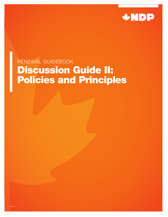

# RENEWAL GUIDEBOOK Discussion Guide II: Policies and Principles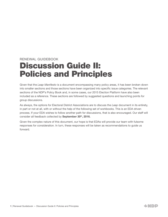# RENEWAL GUIDEBOOK Discussion Guide II: Policies and Principles

Given that the *Leap Manifesto* is a document encompassing many policy areas, it has been broken down into smaller sections and those sections have been organized into specific issue categories. The relevant sections of the NDP's Policy Book and, in some cases, our 2015 Election Platform have also been included as a reference. These sections are followed by suggested questions and launching points for group discussions.

As always, the options for Electoral District Associations are to discuss the *Leap* document in its entirety, in part or not at all, with or without the help of the following set of workbooks. This is an EDA driven process. If your EDA wishes to follow another path for discussions, that is also encouraged. Our staff will consider all feedback collected by September 30<sup>th</sup>, 2016.

Given the complex nature of this document, our hope is that EDAs will provide our team with fulsome responses for consideration. In turn, these responses will be taken as recommendations to guide us forward.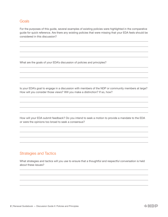# Goals

For the purposes of this guide, several examples of existing policies were highlighted in the comparative guide for quick reference. Are there any existing policies that were missing that your EDA feels should be considered in this discussion?

What are the goals of your EDA's discussion of policies and principles?

Is your EDA's goal to engage in a discussion with members of the NDP or community members at large? How will you consider those views? Will you make a distinction? If so, how?

How will your EDA submit feedback? Do you intend to seek a motion to provide a mandate to the EDA or were the opinions too broad to seek a consensus?

# Strategies and Tactics

What strategies and tactics will you use to ensure that a thoughtful and respectful conversation is held about these issues?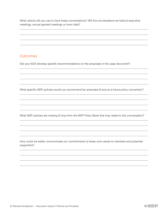What vehicle will you use to have these conversations? Will the conversations be held at executive meetings, annual general meetings or town halls?

# **Outcomes**

Did your EDA develop specific recommendations on the proposals in the *Leap* document?

What specific NDP policies would you recommend be amended (if any) at a future policy convention?

What NDP policies are missing (if any) from the NDP Policy Book that may relate to this conversation?

How could we better communicate our commitments to these core values to members and potential supporters?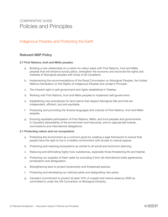# COMPARATIVE GUIDE Policies and Principles

# Indigenous Peoples and Protecting the Earth

# Relevant NDP Policy

### 5.7 First Nations, Inuit and Métis peoples

- a. Building a new relationship on a nation-to-nation basis with First Nations, Inuit and Métis peoples that will enhance social justice, strengthen the economy and reconcile the rights and interests of Aboriginal peoples with those of all Canadians.
- b. Implementing the recommendations of the Royal Commission on Aboriginal Peoples, the United Nations Declaration on the Rights of Indigenous Peoples and Jordan's Principle.
- c. The inherent right to self-government and rights established in Treaties.
- d. Working with First Nations, Inuit and Métis peoples to implement self-government.
- e. Establishing new procedures for land claims that respect Aboriginal title and that are independent, efficient, just and equitable.
- f. Protecting and promoting the diverse languages and cultures of First Nations, Inuit and Métis peoples.
- g. Ensuring equitable participation of First Nations, Métis, and Inuit peoples and governments in Canada's stewardship of the environment and resources, and on appropriate boards, commissions and international delegations.

### 2.1 Protecting nature and our ecosystems

- a. Protecting the environment as a common good by creating a legal framework to ensure that people have the right to live in a healthy environment with access to natural spaces.
- b. Protecting and restoring ecosystems as central to all social and economic planning.
- c. Reducing and eliminating highly toxic substances, especially those threatening life and habitat.
- d. Protecting our supplies of fresh water by excluding it from all international trade agreements, privatization and deregulation.
- e. Strengthening laws to protect biodiversity and threatened species.
- f. Protecting and developing our national parks and designating new parks.
- g. Canada's commitment to protect at least 10% of coastal and marine areas by 2020 as committed to under the UN Convention on Biological Diversity.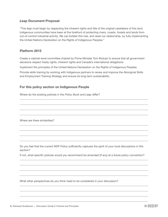# *Leap* Document Proposal

"This *leap* must begin by respecting the inherent rights and title of the original caretakers of this land. Indigenous communities have been at the forefront of protecting rivers, coasts, forests and lands from out-of-control industrial activity. We can bolster this role, and reset our relationship, by fully implementing the United Nations Declaration on the Rights of Indigenous Peoples."

# Platform 2015

Create a cabinet-level committee chaired by Prime Minister Tom Mulcair to ensure that all government decisions respect treaty rights, inherent rights and Canada's international obligations.

Implement the principles of the United Nations Declaration on the Rights of Indigenous Peoples.

Provide skills training by working with Indigenous partners to renew and improve the Aboriginal Skills and Employment Training Strategy and ensure its long-term sustainability.

# For this policy section on Indigenous People

Where do the existing policies in the *Policy Book* and *Leap* differ?

Where are there similarities?

Do you feel that the current NDP Policy sufficiently captures the spirit of your local discussions in this section?

If not, what specific policies would you recommend be amended (if any) at a future policy convention?

What other perspectives do you think need to be considered in your discussion?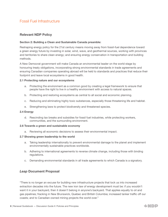# Fossil Fuel Infrastructure

# Relevant NDP Policy

### Section 2: Building a Clean and Sustainable Canada preamble:

Reshaping energy policy for the 21st century means moving away from fossil-fuel dependence toward a green energy future by investing in solar, wind, wave, and geothermal sources, working with provinces and territories to share clean energy; and ensuring energy conservation in transportation and building methods.

A New Democrat government will make Canada an environmental leader on the world stage by honouring treaty obligations, incorporating strong environmental standards in trade agreements and ensuring Canadian companies operating abroad will be held to standards and practices that reduce their footprint and leave local ecosystems in good health.

#### 2.1 Protecting nature and our ecosystems

- a. Protecting the environment as a common good by creating a legal framework to ensure that people have the right to live in a healthy environment with access to natural spaces.
- b. Protecting and restoring ecosystems as central to all social and economic planning.
- c. Reducing and eliminating highly toxic substances, especially those threatening life and habitat.
- e. Strengthening laws to protect biodiversity and threatened species.

#### 2.4 Energy

d. Rescinding tax breaks and subsidies for fossil fuel industries, while protecting workers, communities, and the surrounding environment.

#### 2.6 Towards a green and sustainable economy

a. Reviewing all economic decisions to assess their environmental impact.

#### 2.7 Showing green leadership to the world

- a. Taking leadership internationally to prevent environmental damage to the planet and implement environmentally sustainable practices worldwide.
- b. Adhering to international agreements to reverse climate change, including those with binding regulations.
- c. Demanding environmental standards in all trade agreements to which Canada is a signatory.

# *Leap* Document Proposal

"There is no longer an excuse for building new infrastructure projects that lock us into increased extraction decades into the future. The new iron law of energy development must be: if you wouldn't want it in your backyard, then it doesn't belong in anyone's backyard. That applies equally to oil and gas pipelines; fracking in New Brunswick, Quebec and British Columbia; increased tanker traffic off our coasts; and to Canadian-owned mining projects the world over."

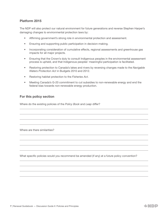# Platform 2015

The NDP will also protect our natural environment for future generations and reverse Stephen Harper's damaging changes to environmental protection laws by:

- Affirming government's strong role in environmental protection and assessment.
- Ensuring and supporting public participation in decision-making.
- Incorporating consideration of cumulative effects, regional assessments and greenhouse gas impacts for all major projects.
- Ensuring that the Crown's duty to consult Indigenous peoples in the environmental assessment process is upheld, and that Indigenous peoples' meaningful participation is facilitated.
- Restoring protection to Canada's lakes and rivers by reversing changes made to the *Navigable Waters Protection Act* in Budgets 2010 and 2012.
- Restoring habitat protection to the *Fisheries Act*.
- Meeting Canada's G-20 commitment to cut subsidies to non-renewable energy and end the federal bias towards non-renewable energy production.

# For this policy section

Where do the existing policies of the *Policy Book* and *Leap* differ?

Where are there similarities?

What specific policies would you recommend be amended (if any) at a future policy convention?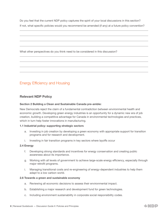Do you feel that the current NDP policy captures the spirit of your local discussions in this section? If not, what specific policies would you recommend be amended (if any) at a future policy convention?

What other perspectives do you think need to be considered in this discussion?

# Energy Efficiency and Housing

# Relevant NDP Policy

### Section 2 Building a Clean and Sustainable Canada pre-amble:

New Democrats reject the claim of a fundamental contradiction between environmental health and economic growth. Developing green energy industries is an opportunity for a dynamic new era of job creation, building a competitive advantage for Canada in environmental technologies and practices, which in turn help foster innovations in manufacturing.

### 1.1 Industrial policy: supporting strategic sectors

- a. Investing in job creation by developing a green economy with appropriate support for transition programs and for research and development.
- i. Investing in fair transition programs in key sectors where layoffs occur

### 2.4 Energy

- f. Developing strong standards and incentives for energy conservation and creating public awareness about its importance.
- g. Working with all levels of government to achieve large-scale energy efficiency, especially through major retrofit programs.
- i. Managing transitional costs and re-engineering of energy-dependent industries to help them adapt to a low carbon world.

### 2.6 Towards a green and sustainable economy

- a. Reviewing all economic decisions to assess their environmental impact.
- b. Establishing a major research and development fund for green technologies.
- c. Including environment sustainability in corporate social responsibility codes.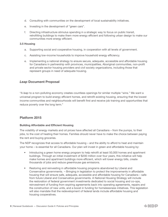- d. Consulting with communities on the development of local sustainability initiatives.
- e. Investing in the development of "green cars".
- f. Directing infrastructure stimulus spending in a strategic way to focus on public transit, retrofitting buildings to make them more energy efficient and following urban design to make our communities more energy efficient.

### 3.5 Housing

- a. Supporting social and cooperative housing, in cooperation with all levels of government.
- c. Assisting low-income households to improve household energy efficiency.
- e. Implementing a national strategy to ensure secure, adequate, accessible and affordable housing for Canadians in partnership with provinces, municipalities, Aboriginal communities, non-profit and private sector housing providers and civil society organizations, including those that represent groups in need of adequate housing.

### *Leap* Document Proposal

"A *leap* to a non-polluting economy creates countless openings for similar multiple "wins." We want a universal program to build energy efficient homes, and retrofit existing housing, ensuring that the lowest income communities and neighbourhoods will benefit first and receive job training and opportunities that reduce poverty over the long term."

### Platform 2015

### Building Affordable and Efficient Housing

The volatility of energy markets and oil prices have affected all Canadians – from the pumps, to their jobs, to the cost of heating their homes. Families should never have to make the choice between paying the rent and buying groceries.

The NDP recognizes that access to affordable housing – and the ability to afford to heat and maintain your home – is essential for all Canadians. Our plan will invest in green and affordable housing by:

- Introducing a green home energy program to help retrofit at least 50,000 homes and apartment buildings. Through an initial investment of \$200 million over four years, this initiative will help make homes and apartment buildings more efficient, which will lower energy bills, create thousands of jobs and reduce greenhouse gas emissions.
- Restoring and reinvesting in affordable housing programs abandoned by Liberal and Conservative governments. ¬ Bringing in legislation to protect the improvements in affordable housing that will ensure safe, adequate, accessible and affordable housing for Canadians – safe from future Liberal and Conservative governments. A National Housing Strategy will include the restoration of federal government investments dedicated to social housing and co-ops, reinvestment of funding from expiring agreements back into operating agreements, repairs and the construction of new units, and a boost in funding for homelessness initiatives. This legislation will also mandate that the redevelopment of federal lands include affordable housing and housing cooperatives.

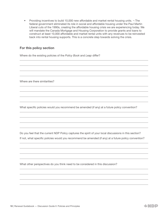• Providing incentives to build 10,000 new affordable and market rental housing units.  $\neg$  The federal government eliminated its role in social and affordable housing under the Paul Martin Liberal cuts of the 1990s, creating the affordable housing crisis we are experiencing today. We will mandate the Canada Mortgage and Housing Corporation to provide grants and loans to construct at least 10,000 affordable and market rental units with any revenues to be reinvested back into rental housing supports. This is a concrete step towards solving the crisis.

# For this policy section

Where do the existing policies of the *Policy Book* and *Leap* differ?

Where are there similarities?

What specific policies would you recommend be amended (if any) at a future policy convention?

Do you feel that the current NDP Policy captures the spirit of your local discussions in this section? If not, what specific policies would you recommend be amended (if any) at a future policy convention?

What other perspectives do you think need to be considered in this discussion?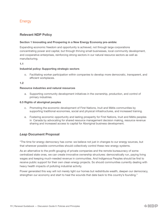# **Energy**

# Relevant NDP Policy

### Section 1 Innovating and Prospering in a New Energy Economy pre-amble:

Expanding economic freedom and opportunity is achieved, not through large corporations concentrating power and capital, but through thriving small businesses, local community development, and cooperative enterprises, reinforcing strong sectors in our natural resource sectors as well as manufacturing.

### 1.1

### Industrial policy: Supporting strategic sectors

o. Facilitating worker participation within companies to develop more democratic, transparent, and efficient workplaces.

### 1.2

### Resource industries and natural resources

a. Supporting community development initiatives in the ownership, production, and control of primary industries.

### 6.5 Rights of aboriginal peoples

- c. Promoting the economic development of First Nations, Inuit and Métis communities by supporting traditional economies, social and physical infrastructures, and increased training.
- e. Fostering economic opportunity and lasting prosperity for First Nations, Inuit and Métis peoples in Canada by advocating for shared resource management decision making, resource revenue sharing and increased access to capital for Aboriginal business development.

# *Leap* Document Proposal

"The time for energy democracy has come: we believe not just in changes to our energy sources, but that wherever possible communities should collectively control these new energy systems.

As an alternative to the profit-gouging of private companies and the remote bureaucracy of some centralized state ones, we can create innovative ownership structures: democratically run, paying living wages and keeping much-needed revenue in communities. And Indigenous Peoples should be first to receive public support for their own clean energy projects. So should communities currently dealing with heavy health impacts of polluting industrial activity.

Power generated this way will not merely light our homes but redistribute wealth, deepen our democracy, strengthen our economy and start to heal the wounds that date back to this country's founding."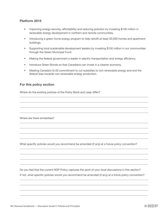# Platform 2015

- Improving energy security, affordability and reducing pollution by investing \$100 million in renewable energy development in northern and remote communities.
- Introducing a green home energy program to help retrofit at least 50,000 homes and apartment buildings.
- Supporting local sustainable development leaders by investing \$150 million in our communities through the Green Municipal Fund.
- Making the federal government a leader in electric transportation and energy efficiency.
- Introduce Green Bonds so that Canadians can invest in a cleaner economy.
- Meeting Canada's G-20 commitment to cut subsidies to non-renewable energy and end the federal bias towards non-renewable energy production.

# For this policy section

Where do the existing policies of the *Policy Book* and *Leap* differ?

Where are there similarities?

What specific policies would you recommend be amended (if any) at a future policy convention?

Do you feel that the current NDP Policy captures the spirit of your local discussions in this section? If not, what specific policies would you recommend be amended (if any) at a future policy convention?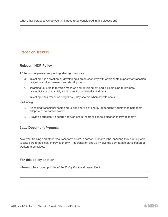What other perspectives do you think need to be considered in this discussion?

# Transition Training

# Relevant NDP Policy

### 1.1 Industrial policy: supporting strategic sectors

- a. Investing in job creation by developing a green economy with appropriate support for transition programs and for research and development.
- f. Targeting tax credits towards research and development and skills training to promote productivity, sustainability and innovation in Canadian industry.
- i. Investing in fair transition programs in key sectors where layoffs occur

### 2.4 Energy

- i. Managing transitional costs and re-engineering of energy-dependent industries to help them adapt to a low carbon world.
- j. Providing substantive support to workers in the transition to a cleaner energy economy.

# *Leap* Document Proposal

"We want training and other resources for workers in carbon-intensive jobs, ensuring they are fully able to take part in the clean energy economy. This transition should involve the democratic participation of workers themselves."

# For this policy section

Where do the existing policies of the *Policy Book* and *Leap* differ?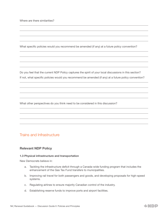Where are there similarities?

What specific policies would you recommend be amended (if any) at a future policy convention?

Do you feel that the current NDP Policy captures the spirit of your local discussions in this section? If not, what specific policies would you recommend be amended (if any) at a future policy convention?

What other perspectives do you think need to be considered in this discussion?

# Trains and Infrastructure

### Relevant NDP Policy

#### 1.3 Physical infrastructure and transportation

New Democrats believe in:

- a. Tackling the infrastructure deficit through a Canada-wide funding program that includes the enhancement of the Gas Tax Fund transfers to municipalities.
- b. Improving rail travel for both passengers and goods, and developing proposals for high-speed systems.
- c. Regulating airlines to ensure majority Canadian control of the industry.
- d. Establishing reserve funds to improve ports and airport facilities.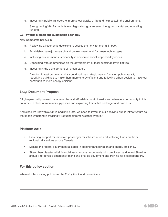- e. Investing in public transport to improve our quality of life and help sustain the environment.
- f. Strengthening VIA Rail with its own legislation guaranteeing it ongoing capital and operating funding.

### 2.6 Towards a green and sustainable economy

New Democrats believe in:

- a. Reviewing all economic decisions to assess their environmental impact.
- b. Establishing a major research and development fund for green technologies.
- c. Including environment sustainability in corporate social responsibility codes.
- d. Consulting with communities on the development of local sustainability initiatives.
- e. Investing in the development of "green cars".
- f. Directing infrastructure stimulus spending in a strategic way to focus on public transit, retrofitting buildings to make them more energy efficient and following urban design to make our communities more energy efficient.

# *Leap* Document Proposal

"High-speed rail powered by renewables and affordable public transit can unite every community in this country – in place of more cars, pipelines and exploding trains that endanger and divide us.

And since we know this *leap* is beginning late, we need to invest in our decaying public infrastructure so that it can withstand increasingly frequent extreme weather events."

# Platform 2015

- Providing support for improved passenger rail infrastructure and restoring funds cut from regional rail services across Canada.
- Making the federal government a leader in electric transportation and energy efficiency.
- Strengthen disaster relief financial assistance arrangements with provinces, and invest \$9 million annually to develop emergency plans and provide equipment and training for first responders.

# For this policy section

Where do the existing policies of the *Policy Book* and *Leap* differ?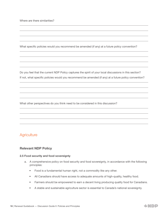Where are there similarities?

What specific policies would you recommend be amended (if any) at a future policy convention?

Do you feel that the current NDP Policy captures the spirit of your local discussions in this section? If not, what specific policies would you recommend be amended (if any) at a future policy convention?

What other perspectives do you think need to be considered in this discussion?

# **Agriculture**

### Relevant NDP Policy

### 2.5 Food security and food sovereignty

- a. A comprehensive policy on food security and food sovereignty, in accordance with the following principles:
	- Food is a fundamental human right, not a commodity like any other.
	- All Canadians should have access to adequate amounts of high-quality, healthy food.
	- Farmers should be empowered to earn a decent living producing quality food for Canadians.
	- A stable and sustainable agriculture sector is essential to Canada's national sovereignty.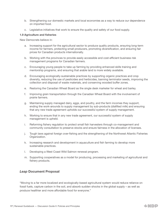- b. Strengthening our domestic markets and local economies as a way to reduce our dependence on imported food.
- c. Legislative initiatives that work to ensure the quality and safety of our food supply.

#### 1.9 Agriculture and fisheries

New Democrats believe in:

- a. Increasing support for the agricultural sector to produce quality products, ensuring long-term income for farmers, protecting small producers, promoting diversification, and ensuring fair prices for Canadian products internationally.
- b. Working with the provinces to provide easily accessible and cost-efficient business risk management programs for Canadian farmers.
- c. Encouraging young people to take up farming by providing enhanced skills training and mentorship programs, and ensuring that arable land is more widely available.
- d. Encouraging ecologically-sustainable practices by supporting organic practices and crop diversity, reducing the use of pesticides and herbicides, banning terminator seeds, improving the collection and disposal of waste materials, and conserving wooded buffer zones.
- e. Restoring the Canadian Wheat Board as the single desk marketer for wheat and barley.
- f. Improving grain transportation through the Canadian Wheat Board with the involvement of prairie farmers.
- g. Maintaining supply managed dairy, eggs, and poultry, and the farm incomes they support, ending the work-arounds to supply management by sub-products (diafilted milk) and ensuring that any new trade agreement upholds our successful system of supply management.
- h. Working to ensure that in any new trade agreement, our successful system of supply management is upheld.
- i. Reforming fishery regulation to protect small fish harvesters through co-management and community consultation to preserve stocks and ensure fairness in the allocation of licenses.
- j. Tough laws against foreign over-fishing and the strengthening of the Northwest Atlantic Fisheries Organization.
- k. Increasing research and development in aquaculture and fish farming to develop more sustainable practices.
- l. Developing a West Coast Wild Salmon renewal program.
- m. Supporting cooperatives as a model for producing, processing and marketing of agricultural and fishery products.

# *Leap* Document Proposal

"Moving to a far more localized and ecologically-based agricultural system would reduce reliance on fossil fuels, capture carbon in the soil, and absorb sudden shocks in the global supply – as well as produce healthier and more affordable food for everyone."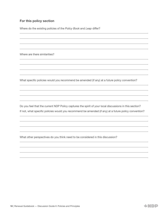# For this policy section

Where do the existing policies of the *Policy Book* and *Leap* differ?

Where are there similarities?

What specific policies would you recommend be amended (if any) at a future policy convention?

Do you feel that the current NDP Policy captures the spirit of your local discussions in this section? If not, what specific policies would you recommend be amended (if any) at a future policy convention?

What other perspectives do you think need to be considered in this discussion?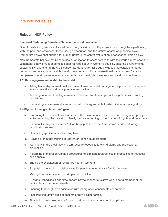# International Issues

# Relevant NDP Policy

### Section 4 Redefining Canada's Place in the world preamble:

One of the defining features of social democracy is solidarity with people around the globe – particularly with the poor and powerless, those facing persecution, and the victims of acts of genocide. New Democrats believe that support for human rights is the central value of an independent foreign policy.

New Democrats believe that Canada has an obligation to share its wealth with the world's most poor and vulnerable; that we must become a leader for food security, women's equality, ensuring environmental sustainability, and ending the AIDS pandemic. Fighting for fair trade includes enforceable standards on human and environmental rights in all agreements, and in all international trade bodies. Canadian companies operating overseas must also safeguard the rights of workers and local communities.

### 2.7 Showing green leadership to the world

- a. Taking leadership internationally to prevent environmental damage to the planet and implement environmentally sustainable practices worldwide.
- b. Adhering to international agreements to reverse climate change, including those with binding regulations.
- c. Demanding environmental standards in all trade agreements to which Canada is a signatory.

### 4.4 Rights of immigrants and refugees

- a. Promoting the reunification of families as the main priority of the Canadian immigration policy while respecting the diversity of family models according to the Charter of Rights and Freedoms.
- b. An annual immigration level of 1% of the population to meet workforce needs and family reunification requests.
- c. Eliminating application and landing fees.
- d. Providing language training in English or French as appropriate.
- e. Working with the provinces and territories to recognize foreign diploma and professional credentials.
- f. Reforming Immigration Canada procedures to eliminate arbitrariness in processing of requests and appeals.
- g. Ending the exploitation of temporary migrant workers.
- h. Simplifying the issuing of visitor visas for people coming to visit family members.
- i. Making international adoption simpler and quicker.
- j. Allowing Canadians a one-time opportunity to sponsor a relative who is not a member of the family class to come to Canada.
- k. Ensuring that tough laws against corrupt immigration consultants are enforced.
- l. Fast-tracking family class sponsorship from disaster areas.
- m. Eliminating the intake quota of parent and grandparent sponsorship applications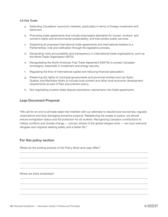### 4.5 Fair Trade

- a. Defending Canadians' economic interests, particularly in terms of foreign investment and takeovers.
- b. Promoting trade agreements that include enforceable standards for human, workers' and women's rights and environmental sustainability, and that protect public services.
- c. Subjecting all proposed international trade agreements and international treaties to a Parliamentary vote and ratification through the legislative process.
- d. Demanding more accountability and transparency in international trade organizations, such as the World Trade Organization (WTO).
- e. Renegotiating the North American Free Trade Agreement (NAFTA) to protect Canadian sovereignty, especially in investment and energy security.
- f. Regulating the flow of international capital and reducing financial speculation.
- g. Preserving the rights of municipal governments and provincial entities such as Hydro Quebec and Manitoba Hydro to include local content and other local economic development requirements as part of their procurement policy.
- h. Not negotiating investor-state dispute resolutions mechanisms into trade agreements.

### *Leap* Document Proposal

"We call for an end to all trade deals that interfere with our attempts to rebuild local economies, regulate corporations and stop damaging extractive projects. Rebalancing the scales of justice, we should ensure immigration status and full protection for all workers. Recognizing Canada's contributions to military conflicts and climate change — primary drivers of the global refugee crisis — we must welcome refugees and migrants seeking safety and a better life."

### For this policy section

Where do the existing policies of the *Policy Book* and *Leap* differ?

Where are there similarities?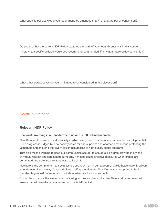What specific policies would you recommend be amended (if any) at a future policy convention?

Do you feel that the current NDP Policy captures the spirit of your local discussions in this section? If not, what specific policies would you recommend be amended (if any) at a future policy convention?

What other perspectives do you think need to be considered in this discussion?

# Social Investment

# Relevant NDP Policy

### Section 3: Investing in a Canada where no one is left behind preamble:

New Democrats strive to build a society in which every one of its members can reach their full potential. Such progress is judged by how society cares for and supports one another. That means protecting the vulnerable and ensuring that every citizen has access to high quality social programs.

That also means working to keep our communities secure, to ensure our children grow up in a world of mutual respect and safe neighbourhoods. It means taking effective measures when crimes are committed and violence threatens our quality of life.

Nowhere is the commitment to social justice stronger than in our support of public health care. Medicare is fundamental to the way Canada defines itself as a nation and New Democrats are proud to be its founder, its greatest defender and its tireless advocate for improvements.

Social democracy is the embodiment of caring for one another and a New Democrat government will ensure that all Canadians prosper and no one is left behind.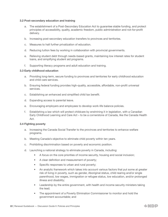#### 3.2 Post-secondary education and training

- a. The establishment of a Post-Secondary Education Act to guarantee stable funding, and protect principles of accessibility, quality, academic freedom, public administration and not-for-profit delivery.
- b. Increasing post-secondary education transfers to provinces and territories.
- c. Measures to halt further privatization of education.
- d. Reducing tuition fees by working in collaboration with provincial governments.
- e. Relieving student debt through needs-based grants, maintaining low interest rates for student loans, and simplifying student aid programs.
- f. Supporting literacy programs and adult education and training.

#### 3.3 Early childhood education

- a. Providing long-term, secure funding to provinces and territories for early childhood education and child care services.
- b. Ensuring federal funding provides high-quality, accessible, affordable, non-profit universal services.
- c. Establishing an enhanced and simplified child tax benefit.
- d. Expanding access to parental leave.
- e. Encouraging employers and employees to develop work-life balance policies.
- f. Establishing a law which will protect childcare by enshrining it in legislation, with a Canadian Early Childhood Learning and Care Act – to be a cornerstone of Canada, like the Canada Health Act.

#### 3.4 Fighting poverty

- a. Increasing the Canada Social Transfer to the provinces and territories to enhance welfare programs.
- b. Meeting Canada's objective to eliminate child poverty within ten years.
- c. Prohibiting discrimination based on poverty and economic position.
- d. Launching a national strategy to eliminate poverty in Canada, including:
	- A focus on the core priorities of income security, housing and social inclusion;
	- A clear definition and measurement of poverty;
	- Specific responses to urban and rural poverty;
	- An analytic framework which takes into account various factors that put some at greater risk of living in poverty, such as gender, Aboriginal status, child rearing and/or single parenthood, low wages, immigration or refugee status, low education, and/or prolonged illness and disability;
	- Leadership by the entire government, with health and income security ministers taking the lead;
	- The appointment of a Poverty Elimination Commissioner to monitor and hold the government accountable; and

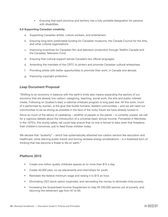• Ensuring that each province and territory has a fully portable designation for persons with disabilities.

### 6.8 Supporting Canadian creativity

- a. Supporting Canadian artists, culture workers, and entertainers.
- b. Ensuring long-term predictable funding for Canadian museums, the Canada Council for the Arts, and other cultural organizations.
- c. Improving incentives for Canadian film and television production through Telefilm Canada and the Canadian Television Fund.
- d. Ensuring that cultural support serves Canada's two official languages.
- e. Amending the mandate of the CRTC to protect and promote Canadian cultural enterprises.
- f. Providing artists with better opportunities to promote their work, in Canada and abroad.
- g. Improving copyright protection.

### *Leap* Document Proposal

"Shifting to an economy in balance with the earth's limits also means expanding the sectors of our economy that are already low carbon: caregiving, teaching, social work, the arts and public-interest media. Following on Quebec's lead, a national childcare program is long past due. All this work, much of it performed by women, is the glue that builds humane, resilient communities – and we will need our communities to be as strong as possible in the face of the rocky future we have already locked in.

Since so much of the labour of caretaking – whether of people or the planet – is currently unpaid, we call for a vigorous debate about the introduction of a universal basic annual income. Pioneered in Manitoba in the 1970's, this sturdy safety net could help ensure that no one is forced to take work that threatens their children's tomorrow, just to feed those children today.

We declare that "austerity" – which has systematically attacked low-carbon sectors like education and healthcare, while starving public transit and forcing reckless energy privatizations – is a fossilized form of thinking that has become a threat to life on earth."

### Platform 2015

- Create one million quality childcare spaces at no more than \$15 a day.
- Create 40,000 jobs, co-op placements and internships for youth.
- Reinstate the federal minimum wage and raising it to \$15 an hour.
- Eliminating CEO stock option loopholes, and reinvesting the money to eliminate child poverty.
- Increasing the Guaranteed Income Supplement to help lift 200,000 seniors out of poverty, and returning the retirement age from 67 to 65.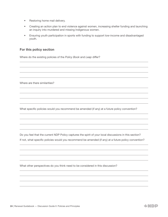- Restoring home mail delivery.
- Creating an action plan to end violence against women, increasing shelter funding and launching an inquiry into murdered and missing Indigenous women.
- Ensuring youth participation in sports with funding to support low-income and disadvantaged youth.

# For this policy section

Where do the existing policies of the *Policy Book* and *Leap* differ?

Where are there similarities?

What specific policies would you recommend be amended (if any) at a future policy convention?

Do you feel that the current NDP Policy captures the spirit of your local discussions in this section? If not, what specific policies would you recommend be amended (if any) at a future policy convention?

What other perspectives do you think need to be considered in this discussion?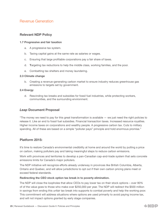# Revenue Generation

# Relevant NDP Policy

### 1.7 Progressive and fair taxation

- a. A progressive tax system.
- b. Taxing capital gains at the same rate as salaries or wages.
- c. Ensuring that large profitable corporations pay a fair share of taxes.
- d. Targeting tax reductions to help the middle class, working families, and the poor.
- e. Combatting tax shelters and money laundering.

### 2.3 Climate change

b. Creating a revenue-generating carbon market to ensure industry reduces greenhouse gas emissions to targets set by government.

### 2.4 Energy

d. Rescinding tax breaks and subsidies for fossil fuel industries, while protecting workers, communities, and the surrounding environment.

# *Leap* Document Proposal

"The money we need to pay for this great transformation is available — we just need the right policies to release it. Like an end to fossil fuel subsidies. Financial transaction taxes. Increased resource royalties. Higher income taxes on corporations and wealthy people. A progressive carbon tax. Cuts to military spending. All of these are based on a simple "polluter pays" principle and hold enormous promise."

# Platform 2015:

It's time to restore Canada's environmental credibility at home and around the world by putting a price on carbon, making polluters pay and taking meaningful steps to reduce carbon emissions.

Work with provinces and territories to develop a pan-Canadian cap-and-trade system that sets concrete emissions limits for Canada's major polluters.

The NDP initiative will recognize efforts already underway in provinces like British Columbia, Alberta, Ontario and Quebec, and will allow jurisdictions to opt out if their own carbon pricing plans meet or exceed federal standards.

### Redirecting the CEO stock option tax break in to poverty elimination.

The NDP will close the loopholes that allow CEOs to pay lower tax on their stock options – over 90% of of the value goes to those who make over \$250,000 per year. The NDP will redirect the \$500 million in savings from ending this unfair tax break into supports to combat poverty and help the working poor. This commitment will address situations where options are used primarily to avoid paying income tax, and will not impact options granted by early stage companies.

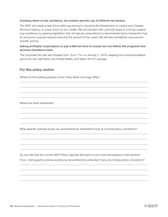### Cracking down on tax avoidance, tax evasion and the use of offshore tax havens.

The NDP will create a task force within government, including the Department of Justice and Canada Revenue Agency, to crack down on tax cheats. We will proceed with concrete steps to limit tax evasion and avoidance by passing legislation that will require corporations to demonstrate that a transaction has an economic purpose beyond reducing the amount of tax owed. We will also strengthen rules around transfer pricing.

### Asking profitable corporations to pay a little bit more to ensure we can deliver the programs and services Canadians need.

The corporate tax rate will increase from 15 to 17% on January 1, 2016, keeping the combined federal/ provincial rate well below the United States, and below the G7 average.

### For this policy section

Where do the existing policies of the *Policy Book* and *Leap* differ?

Where are there similarities?

What specific policies would you recommend be amended (if any) at a future policy convention?

Do you feel that the current NDP Policy captures the spirit of your local discussions in this section? If not, what specific policies would you recommend be amended (if any) at a future policy convention?